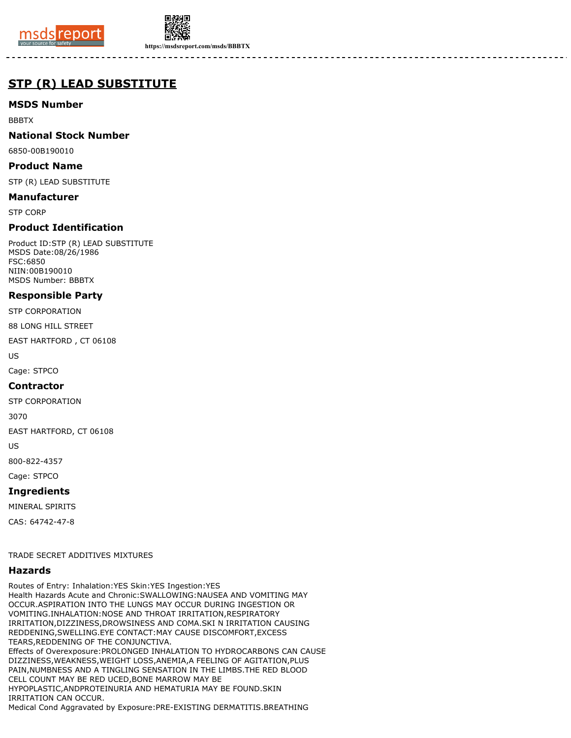



**https://msdsreport.com/msds/BBBTX**

# **STP (R) LEAD SUBSTITUTE**

# **MSDS Number**

BBBTX

# **National Stock Number**

6850-00B190010

## **Product Name**

STP (R) LEAD SUBSTITUTE

## **Manufacturer**

STP CORP

# **Product Identification**

Product ID:STP (R) LEAD SUBSTITUTE MSDS Date:08/26/1986 FSC:6850 NIIN:00B190010 MSDS Number: BBBTX

# **Responsible Party**

STP CORPORATION

88 LONG HILL STREET

EAST HARTFORD , CT 06108

US

Cage: STPCO

#### **Contractor**

STP CORPORATION

3070

EAST HARTFORD, CT 06108

US

800-822-4357

Cage: STPCO

# **Ingredients**

MINERAL SPIRITS

CAS: 64742-47-8

#### TRADE SECRET ADDITIVES MIXTURES

#### **Hazards**

Routes of Entry: Inhalation:YES Skin:YES Ingestion:YES Health Hazards Acute and Chronic:SWALLOWING:NAUSEA AND VOMITING MAY OCCUR.ASPIRATION INTO THE LUNGS MAY OCCUR DURING INGESTION OR VOMITING.INHALATION:NOSE AND THROAT IRRITATION,RESPIRATORY IRRITATION,DIZZINESS,DROWSINESS AND COMA.SKI N IRRITATION CAUSING REDDENING,SWELLING.EYE CONTACT:MAY CAUSE DISCOMFORT,EXCESS TEARS,REDDENING OF THE CONJUNCTIVA. Effects of Overexposure:PROLONGED INHALATION TO HYDROCARBONS CAN CAUSE DIZZINESS,WEAKNESS,WEIGHT LOSS,ANEMIA,A FEELING OF AGITATION,PLUS PAIN,NUMBNESS AND A TINGLING SENSATION IN THE LIMBS.THE RED BLOOD CELL COUNT MAY BE RED UCED,BONE MARROW MAY BE HYPOPLASTIC,ANDPROTEINURIA AND HEMATURIA MAY BE FOUND.SKIN IRRITATION CAN OCCUR. Medical Cond Aggravated by Exposure:PRE-EXISTING DERMATITIS.BREATHING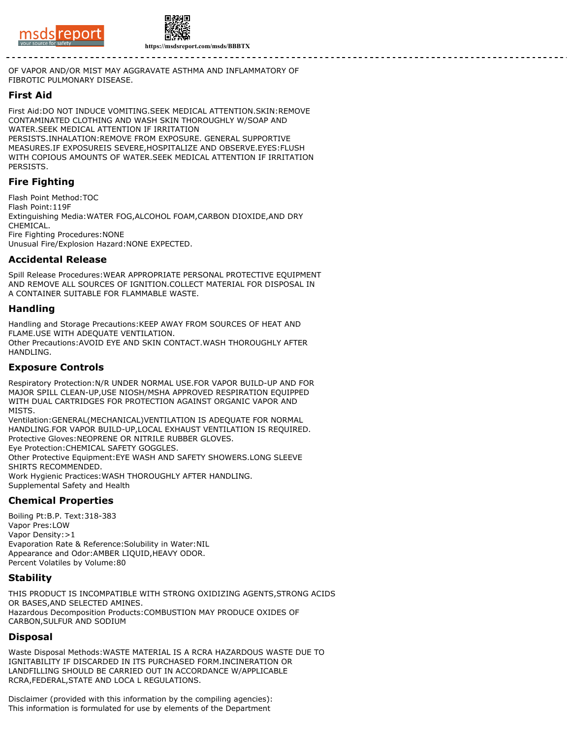



OF VAPOR AND/OR MIST MAY AGGRAVATE ASTHMA AND INFLAMMATORY OF FIBROTIC PULMONARY DISEASE.

#### **First Aid**

First Aid:DO NOT INDUCE VOMITING.SEEK MEDICAL ATTENTION.SKIN:REMOVE CONTAMINATED CLOTHING AND WASH SKIN THOROUGHLY W/SOAP AND WATER.SEEK MEDICAL ATTENTION IF IRRITATION PERSISTS.INHALATION:REMOVE FROM EXPOSURE. GENERAL SUPPORTIVE MEASURES.IF EXPOSUREIS SEVERE,HOSPITALIZE AND OBSERVE.EYES:FLUSH WITH COPIOUS AMOUNTS OF WATER.SEEK MEDICAL ATTENTION IF IRRITATION PERSISTS.

## **Fire Fighting**

Flash Point Method:TOC Flash Point:119F Extinguishing Media:WATER FOG,ALCOHOL FOAM,CARBON DIOXIDE,AND DRY CHEMICAL. Fire Fighting Procedures:NONE Unusual Fire/Explosion Hazard:NONE EXPECTED.

#### **Accidental Release**

Spill Release Procedures:WEAR APPROPRIATE PERSONAL PROTECTIVE EQUIPMENT AND REMOVE ALL SOURCES OF IGNITION.COLLECT MATERIAL FOR DISPOSAL IN A CONTAINER SUITABLE FOR FLAMMABLE WASTE.

#### **Handling**

Handling and Storage Precautions:KEEP AWAY FROM SOURCES OF HEAT AND FLAME.USE WITH ADEQUATE VENTILATION. Other Precautions:AVOID EYE AND SKIN CONTACT.WASH THOROUGHLY AFTER HANDLING.

#### **Exposure Controls**

Respiratory Protection:N/R UNDER NORMAL USE.FOR VAPOR BUILD-UP AND FOR MAJOR SPILL CLEAN-UP,USE NIOSH/MSHA APPROVED RESPIRATION EQUIPPED WITH DUAL CARTRIDGES FOR PROTECTION AGAINST ORGANIC VAPOR AND MISTS.

Ventilation:GENERAL(MECHANICAL)VENTILATION IS ADEQUATE FOR NORMAL HANDLING.FOR VAPOR BUILD-UP,LOCAL EXHAUST VENTILATION IS REQUIRED. Protective Gloves:NEOPRENE OR NITRILE RUBBER GLOVES. Eye Protection:CHEMICAL SAFETY GOGGLES. Other Protective Equipment:EYE WASH AND SAFETY SHOWERS.LONG SLEEVE

SHIRTS RECOMMENDED. Work Hygienic Practices:WASH THOROUGHLY AFTER HANDLING.

Supplemental Safety and Health

#### **Chemical Properties**

Boiling Pt:B.P. Text:318-383 Vapor Pres:LOW Vapor Density:>1 Evaporation Rate & Reference:Solubility in Water:NIL Appearance and Odor:AMBER LIQUID,HEAVY ODOR. Percent Volatiles by Volume:80

## **Stability**

THIS PRODUCT IS INCOMPATIBLE WITH STRONG OXIDIZING AGENTS,STRONG ACIDS OR BASES,AND SELECTED AMINES. Hazardous Decomposition Products:COMBUSTION MAY PRODUCE OXIDES OF CARBON,SULFUR AND SODIUM

#### **Disposal**

Waste Disposal Methods:WASTE MATERIAL IS A RCRA HAZARDOUS WASTE DUE TO IGNITABILITY IF DISCARDED IN ITS PURCHASED FORM.INCINERATION OR LANDFILLING SHOULD BE CARRIED OUT IN ACCORDANCE W/APPLICABLE RCRA,FEDERAL,STATE AND LOCA L REGULATIONS.

Disclaimer (provided with this information by the compiling agencies): This information is formulated for use by elements of the Department